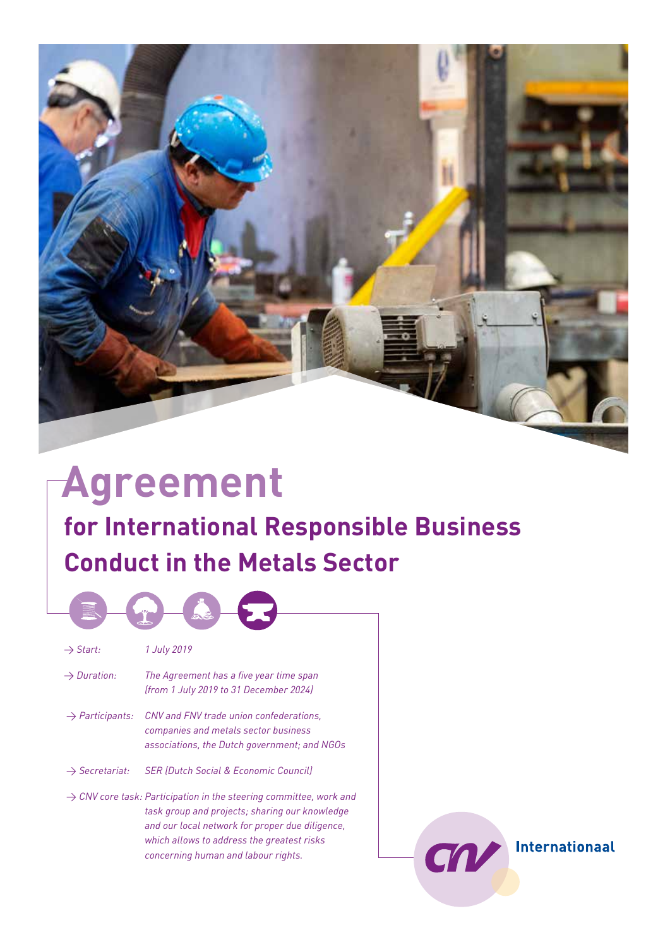

# textiel textiel hout textiel hout bankenhoutbanken banken **for International Responsible Business Conduct in the Metals Sector Agreement**

Internationaal

CN

| $\rightarrow$ Start:        | 1 July 2019                                                                                                                                                                                                                                                              |
|-----------------------------|--------------------------------------------------------------------------------------------------------------------------------------------------------------------------------------------------------------------------------------------------------------------------|
| $\rightarrow$ Duration:     | The Agreement has a five year time span<br>(from 1 July 2019 to 31 December 2024)                                                                                                                                                                                        |
| $\rightarrow$ Participants: | CNV and FNV trade union confederations,<br>companies and metals sector business<br>associations, the Dutch government; and NGOs                                                                                                                                          |
| $\rightarrow$ Secretariat:  | <b>SER (Dutch Social &amp; Economic Council)</b>                                                                                                                                                                                                                         |
|                             | $\rightarrow$ CNV core task: Participation in the steering committee, work and<br>task group and projects; sharing our knowledge<br>and our local network for proper due diligence,<br>which allows to address the greatest risks<br>concerning human and labour rights. |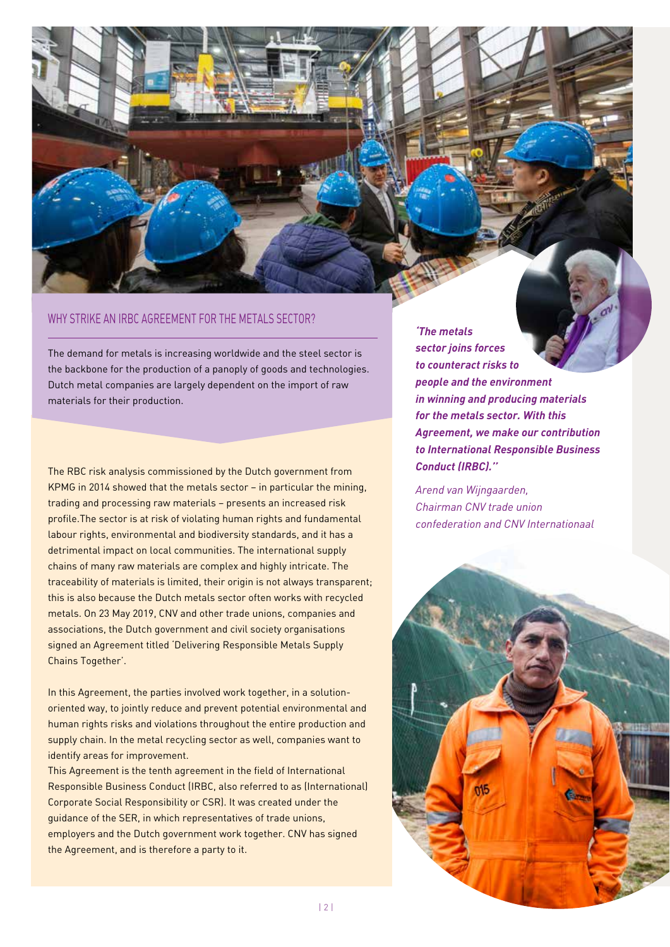## WHY STRIKE AN IRBC AGREEMENT FOR THE METALS SECTOR?

The demand for metals is increasing worldwide and the steel sector is the backbone for the production of a panoply of goods and technologies. Dutch metal companies are largely dependent on the import of raw materials for their production.

The RBC risk analysis commissioned by the Dutch government from KPMG in 2014 showed that the metals sector – in particular the mining, trading and processing raw materials – presents an increased risk profile.The sector is at risk of violating human rights and fundamental labour rights, environmental and biodiversity standards, and it has a detrimental impact on local communities. The international supply chains of many raw materials are complex and highly intricate. The traceability of materials is limited, their origin is not always transparent; this is also because the Dutch metals sector often works with recycled metals. On 23 May 2019, CNV and other trade unions, companies and associations, the Dutch government and civil society organisations signed an Agreement titled 'Delivering Responsible Metals Supply Chains Together'.

In this Agreement, the parties involved work together, in a solutionoriented way, to jointly reduce and prevent potential environmental and human rights risks and violations throughout the entire production and supply chain. In the metal recycling sector as well, companies want to identify areas for improvement.

This Agreement is the tenth agreement in the field of International Responsible Business Conduct (IRBC, also referred to as (International) Corporate Social Responsibility or CSR). It was created under the guidance of the SER, in which representatives of trade unions, employers and the Dutch government work together. CNV has signed the Agreement, and is therefore a party to it.

*'The metals sector joins forces to counteract risks to people and the environment in winning and producing materials for the metals sector. With this Agreement, we make our contribution to International Responsible Business Conduct (IRBC).''*

*Arend van Wijngaarden, Chairman CNV trade union confederation and CNV Internationaal*

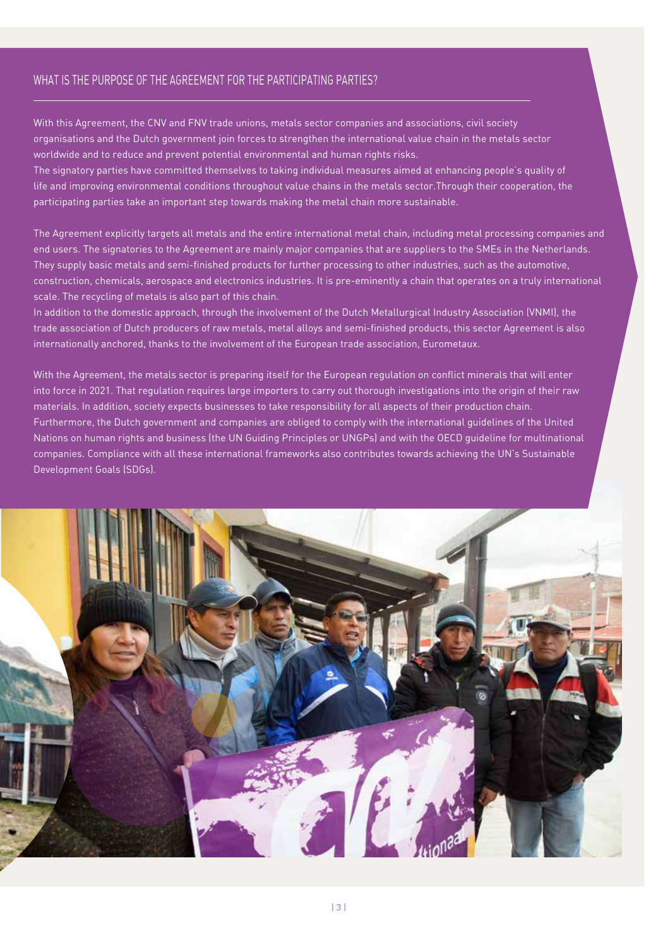## WHAT IS THE PURPOSE OF THE AGREEMENT FOR THE PARTICIPATING PARTIES?

With this Agreement, the CNV and FNV trade unions, metals sector companies and associations, civil society organisations and the Dutch government join forces to strengthen the international value chain in the metals sector worldwide and to reduce and prevent potential environmental and human rights risks.

The signatory parties have committed themselves to taking individual measures aimed at enhancing people's quality of life and improving environmental conditions throughout value chains in the metals sector.Through their cooperation, the participating parties take an important step towards making the metal chain more sustainable.

The Agreement explicitly targets all metals and the entire international metal chain, including metal processing companies and end users. The signatories to the Agreement are mainly major companies that are suppliers to the SMEs in the Netherlands. They supply basic metals and semi-finished products for further processing to other industries, such as the automotive, construction, chemicals, aerospace and electronics industries. It is pre-eminently a chain that operates on a truly international scale. The recycling of metals is also part of this chain.

In addition to the domestic approach, through the involvement of the Dutch Metallurgical Industry Association (VNMI), the trade association of Dutch producers of raw metals, metal alloys and semi-finished products, this sector Agreement is also internationally anchored, thanks to the involvement of the European trade association, Eurometaux.

With the Agreement, the metals sector is preparing itself for the European regulation on conflict minerals that will enter into force in 2021. That regulation requires large importers to carry out thorough investigations into the origin of their raw materials. In addition, society expects businesses to take responsibility for all aspects of their production chain. Furthermore, the Dutch government and companies are obliged to comply with the international guidelines of the United Nations on human rights and business (the UN Guiding Principles or UNGPs) and with the OECD guideline for multinational companies. Compliance with all these international frameworks also contributes towards achieving the UN's Sustainable Development Goals (SDGs).

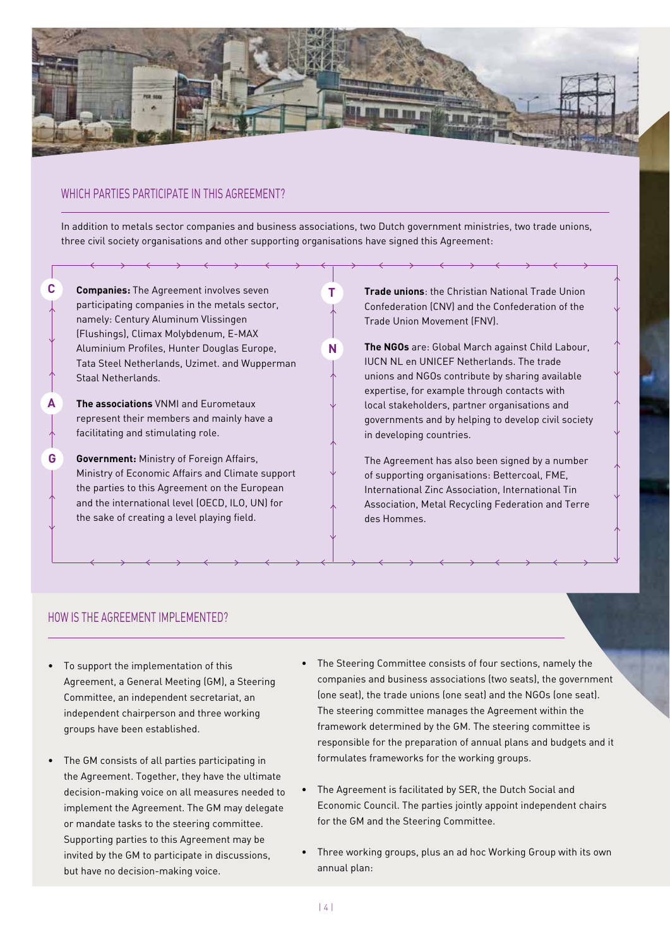

# WHICH PARTIES PARTICIPATE IN THIS AGREEMENT?

**C**

**A**

**G**

In addition to metals sector companies and business associations, two Dutch government ministries, two trade unions, three civil society organisations and other supporting organisations have signed this Agreement:

**T**

**N**

**Companies:** The Agreement involves seven participating companies in the metals sector, namely: Century Aluminum Vlissingen (Flushings), Climax Molybdenum, E-MAX Aluminium Profiles, Hunter Douglas Europe, Tata Steel Netherlands, Uzimet. and Wupperman Staal Netherlands.

**The associations** VNMI and Eurometaux represent their members and mainly have a facilitating and stimulating role.

**Government:** Ministry of Foreign Affairs, Ministry of Economic Affairs and Climate support the parties to this Agreement on the European and the international level (OECD, ILO, UN) for the sake of creating a level playing field.

**Trade unions**: the Christian National Trade Union Confederation (CNV) and the Confederation of the Trade Union Movement (FNV).

**The NGOs** are: Global March against Child Labour, IUCN NL en UNICEF Netherlands. The trade unions and NGOs contribute by sharing available expertise, for example through contacts with local stakeholders, partner organisations and governments and by helping to develop civil society in developing countries.

The Agreement has also been signed by a number of supporting organisations: Bettercoal, FME, International Zinc Association, International Tin Association, Metal Recycling Federation and Terre des Hommes.

## HOW IS THE AGREEMENT IMPLEMENTED?

- • To support the implementation of this Agreement, a General Meeting (GM), a Steering Committee, an independent secretariat, an independent chairperson and three working groups have been established.
- The GM consists of all parties participating in the Agreement. Together, they have the ultimate decision-making voice on all measures needed to implement the Agreement. The GM may delegate or mandate tasks to the steering committee. Supporting parties to this Agreement may be invited by the GM to participate in discussions, but have no decision-making voice.
- • The Steering Committee consists of four sections, namely the companies and business associations (two seats), the government (one seat), the trade unions (one seat) and the NGOs (one seat). The steering committee manages the Agreement within the framework determined by the GM. The steering committee is responsible for the preparation of annual plans and budgets and it formulates frameworks for the working groups.
- The Agreement is facilitated by SER, the Dutch Social and Economic Council. The parties jointly appoint independent chairs for the GM and the Steering Committee.
- Three working groups, plus an ad hoc Working Group with its own annual plan: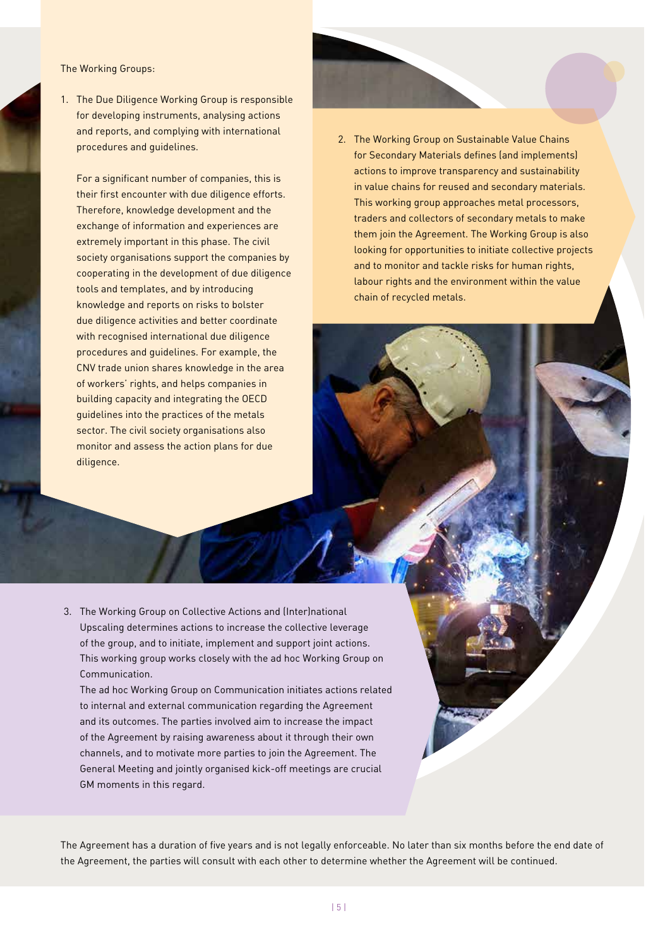#### The Working Groups:

1. The Due Diligence Working Group is responsible for developing instruments, analysing actions and reports, and complying with international procedures and guidelines.

For a significant number of companies, this is their first encounter with due diligence efforts. Therefore, knowledge development and the exchange of information and experiences are extremely important in this phase. The civil society organisations support the companies by cooperating in the development of due diligence tools and templates, and by introducing knowledge and reports on risks to bolster due diligence activities and better coordinate with recognised international due diligence procedures and guidelines. For example, the CNV trade union shares knowledge in the area of workers' rights, and helps companies in building capacity and integrating the OECD guidelines into the practices of the metals sector. The civil society organisations also monitor and assess the action plans for due diligence.

2. The Working Group on Sustainable Value Chains for Secondary Materials defines (and implements) actions to improve transparency and sustainability in value chains for reused and secondary materials. This working group approaches metal processors, traders and collectors of secondary metals to make them join the Agreement. The Working Group is also looking for opportunities to initiate collective projects and to monitor and tackle risks for human rights, labour rights and the environment within the value chain of recycled metals.

3. The Working Group on Collective Actions and (Inter)national Upscaling determines actions to increase the collective leverage of the group, and to initiate, implement and support joint actions. This working group works closely with the ad hoc Working Group on Communication.

The ad hoc Working Group on Communication initiates actions related to internal and external communication regarding the Agreement and its outcomes. The parties involved aim to increase the impact of the Agreement by raising awareness about it through their own channels, and to motivate more parties to join the Agreement. The General Meeting and jointly organised kick-off meetings are crucial GM moments in this regard.

The Agreement has a duration of five years and is not legally enforceable. No later than six months before the end date of the Agreement, the parties will consult with each other to determine whether the Agreement will be continued.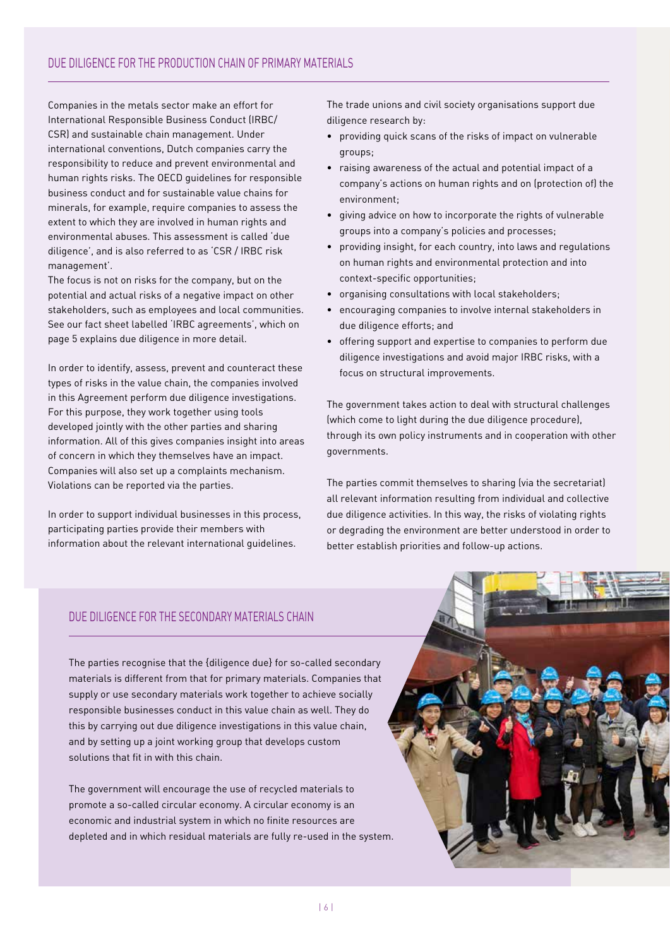Companies in the metals sector make an effort for International Responsible Business Conduct (IRBC/ CSR) and sustainable chain management. Under international conventions, Dutch companies carry the responsibility to reduce and prevent environmental and human rights risks. The OECD guidelines for responsible business conduct and for sustainable value chains for minerals, for example, require companies to assess the extent to which they are involved in human rights and environmental abuses. This assessment is called 'due diligence', and is also referred to as 'CSR / IRBC risk management'.

The focus is not on risks for the company, but on the potential and actual risks of a negative impact on other stakeholders, such as employees and local communities. See our fact sheet labelled 'IRBC agreements', which on page 5 explains due diligence in more detail.

In order to identify, assess, prevent and counteract these types of risks in the value chain, the companies involved in this Agreement perform due diligence investigations. For this purpose, they work together using tools developed jointly with the other parties and sharing information. All of this gives companies insight into areas of concern in which they themselves have an impact. Companies will also set up a complaints mechanism. Violations can be reported via the parties.

In order to support individual businesses in this process, participating parties provide their members with information about the relevant international guidelines.

The trade unions and civil society organisations support due diligence research by:

- • providing quick scans of the risks of impact on vulnerable groups;
- raising awareness of the actual and potential impact of a company's actions on human rights and on (protection of) the environment;
- • giving advice on how to incorporate the rights of vulnerable groups into a company's policies and processes;
- • providing insight, for each country, into laws and regulations on human rights and environmental protection and into context-specific opportunities;
- • organising consultations with local stakeholders;
- • encouraging companies to involve internal stakeholders in due diligence efforts; and
- • offering support and expertise to companies to perform due diligence investigations and avoid major IRBC risks, with a focus on structural improvements.

The government takes action to deal with structural challenges (which come to light during the due diligence procedure), through its own policy instruments and in cooperation with other governments.

The parties commit themselves to sharing (via the secretariat) all relevant information resulting from individual and collective due diligence activities. In this way, the risks of violating rights or degrading the environment are better understood in order to better establish priorities and follow-up actions.

## DUE DILIGENCE FOR THE SECONDARY MATERIALS CHAIN

The parties recognise that the {diligence due} for so-called secondary materials is different from that for primary materials. Companies that supply or use secondary materials work together to achieve socially responsible businesses conduct in this value chain as well. They do this by carrying out due diligence investigations in this value chain, and by setting up a joint working group that develops custom solutions that fit in with this chain.

The government will encourage the use of recycled materials to promote a so-called circular economy. A circular economy is an economic and industrial system in which no finite resources are depleted and in which residual materials are fully re-used in the system.

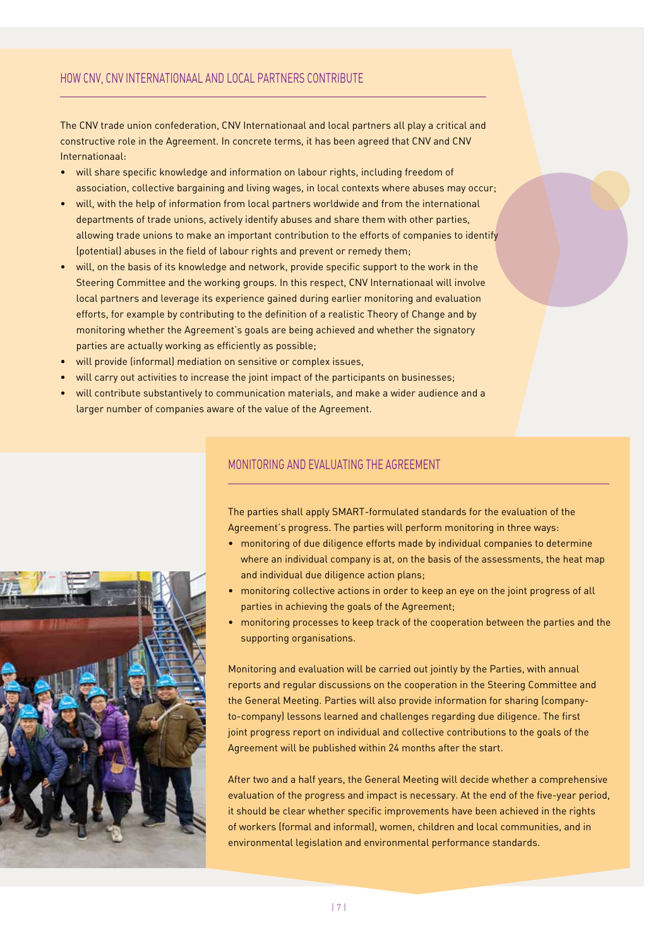The CNV trade union confederation, CNV Internationaal and local partners all play a critical and constructive role in the Agreement. In concrete terms, it has been agreed that CNV and CNV Internationaal:

- • will share specific knowledge and information on labour rights, including freedom of association, collective bargaining and living wages, in local contexts where abuses may occur;
- • will, with the help of information from local partners worldwide and from the international departments of trade unions, actively identify abuses and share them with other parties, allowing trade unions to make an important contribution to the efforts of companies to identify (potential) abuses in the field of labour rights and prevent or remedy them;
- • will, on the basis of its knowledge and network, provide specific support to the work in the Steering Committee and the working groups. In this respect, CNV Internationaal will involve local partners and leverage its experience gained during earlier monitoring and evaluation efforts, for example by contributing to the definition of a realistic Theory of Change and by monitoring whether the Agreement's goals are being achieved and whether the signatory parties are actually working as efficiently as possible;
- will provide (informal) mediation on sensitive or complex issues,
- will carry out activities to increase the joint impact of the participants on businesses;
- will contribute substantively to communication materials, and make a wider audience and a larger number of companies aware of the value of the Agreement.



### MONITORING AND EVALUATING THE AGREEMENT

The parties shall apply SMART-formulated standards for the evaluation of the Agreement's progress. The parties will perform monitoring in three ways:

- • monitoring of due diligence efforts made by individual companies to determine where an individual company is at, on the basis of the assessments, the heat map and individual due diligence action plans;
- • monitoring collective actions in order to keep an eye on the joint progress of all parties in achieving the goals of the Agreement;
- • monitoring processes to keep track of the cooperation between the parties and the supporting organisations.

Monitoring and evaluation will be carried out jointly by the Parties, with annual reports and regular discussions on the cooperation in the Steering Committee and the General Meeting. Parties will also provide information for sharing (companyto-company) lessons learned and challenges regarding due diligence. The first joint progress report on individual and collective contributions to the goals of the Agreement will be published within 24 months after the start.

After two and a half years, the General Meeting will decide whether a comprehensive evaluation of the progress and impact is necessary. At the end of the five-year period, it should be clear whether specific improvements have been achieved in the rights of workers (formal and informal), women, children and local communities, and in environmental legislation and environmental performance standards.